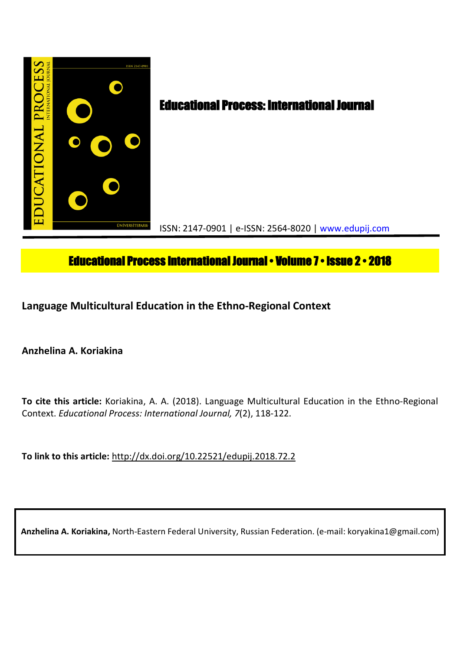

# **Educational Process International Journal • Volume 7 • Issue 2 • 2018**

**Language Multicultural Education in the Ethno-Regional Context**

**Anzhelina A. Koriakina**

**To cite this article:** Koriakina, A. A. (2018). Language Multicultural Education in the Ethno-Regional Context. *Educational Process: International Journal, 7*(2), 118-122.

**To link to this article:** http://dx.doi.org/10.22521/edupij.2018.72.2

**Anzhelina A. Koriakina,** North-Eastern Federal University, Russian Federation. (e-mail: koryakina1@gmail.com)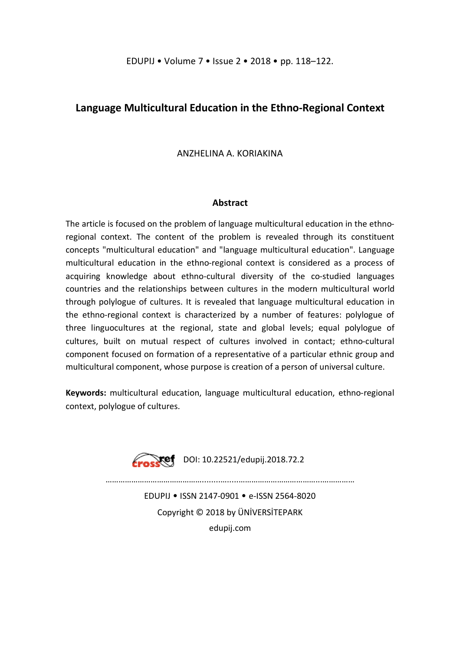# **Language Multicultural Education in the Ethno-Regional Context**

ANZHELINA A. KORIAKINA

# **Abstract**

The article is focused on the problem of language multicultural education in the ethnoregional context. The content of the problem is revealed through its constituent concepts "multicultural education" and "language multicultural education". Language multicultural education in the ethno-regional context is considered as a process of acquiring knowledge about ethno-cultural diversity of the co-studied languages countries and the relationships between cultures in the modern multicultural world through polylogue of cultures. It is revealed that language multicultural education in the ethno-regional context is characterized by a number of features: polylogue of three linguocultures at the regional, state and global levels; equal polylogue of cultures, built on mutual respect of cultures involved in contact; ethno-cultural component focused on formation of a representative of a particular ethnic group and multicultural component, whose purpose is creation of a person of universal culture.

**Keywords:** multicultural education, language multicultural education, ethno-regional context, polylogue of cultures.



EDUPIJ • ISSN 2147-0901 • e-ISSN 2564-8020 Copyright © 2018 by ÜNİVERSİTEPARK edupij.com

………………………………………........….....………………………………...……………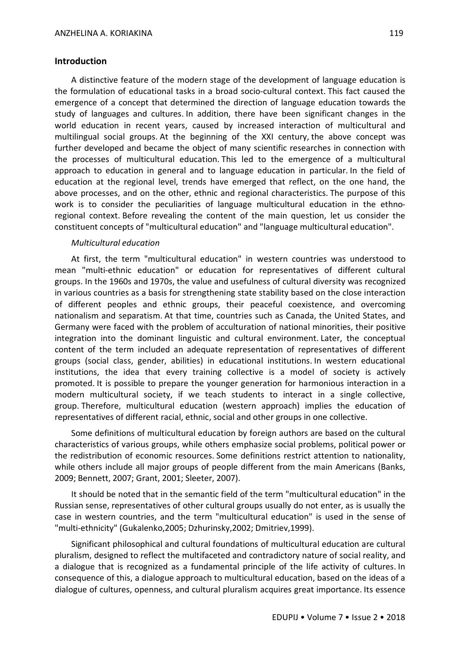### **Introduction**

A distinctive feature of the modern stage of the development of language education is the formulation of educational tasks in a broad socio-cultural context. This fact caused the emergence of a concept that determined the direction of language education towards the study of languages and cultures. In addition, there have been significant changes in the world education in recent years, caused by increased interaction of multicultural and multilingual social groups. At the beginning of the XXI century, the above concept was further developed and became the object of many scientific researches in connection with the processes of multicultural education. This led to the emergence of a multicultural approach to education in general and to language education in particular. In the field of education at the regional level, trends have emerged that reflect, on the one hand, the above processes, and on the other, ethnic and regional characteristics. The purpose of this work is to consider the peculiarities of language multicultural education in the ethnoregional context. Before revealing the content of the main question, let us consider the constituent concepts of "multicultural education" and "language multicultural education".

#### *Multicultural education*

At first, the term "multicultural education" in western countries was understood to mean "multi-ethnic education" or education for representatives of different cultural groups. In the 1960s and 1970s, the value and usefulness of cultural diversity was recognized in various countries as a basis for strengthening state stability based on the close interaction of different peoples and ethnic groups, their peaceful coexistence, and overcoming nationalism and separatism. At that time, countries such as Canada, the United States, and Germany were faced with the problem of acculturation of national minorities, their positive integration into the dominant linguistic and cultural environment. Later, the conceptual content of the term included an adequate representation of representatives of different groups (social class, gender, abilities) in educational institutions. In western educational institutions, the idea that every training collective is a model of society is actively promoted. It is possible to prepare the younger generation for harmonious interaction in a modern multicultural society, if we teach students to interact in a single collective, group. Therefore, multicultural education (western approach) implies the education of representatives of different racial, ethnic, social and other groups in one collective.

Some definitions of multicultural education by foreign authors are based on the cultural characteristics of various groups, while others emphasize social problems, political power or the redistribution of economic resources. Some definitions restrict attention to nationality, while others include all major groups of people different from the main Americans (Banks, 2009; Bennett, 2007; Grant, 2001; Sleeter, 2007).

It should be noted that in the semantic field of the term "multicultural education" in the Russian sense, representatives of other cultural groups usually do not enter, as is usually the case in western countries, and the term "multicultural education" is used in the sense of "multi-ethnicity" (Gukalenko,2005; Dzhurinsky,2002; Dmitriev,1999).

Significant philosophical and cultural foundations of multicultural education are cultural pluralism, designed to reflect the multifaceted and contradictory nature of social reality, and a dialogue that is recognized as a fundamental principle of the life activity of cultures. In consequence of this, a dialogue approach to multicultural education, based on the ideas of a dialogue of cultures, openness, and cultural pluralism acquires great importance. Its essence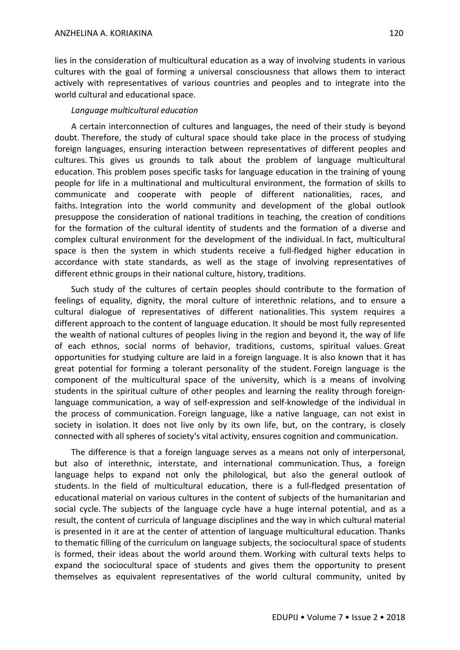lies in the consideration of multicultural education as a way of involving students in various cultures with the goal of forming a universal consciousness that allows them to interact actively with representatives of various countries and peoples and to integrate into the world cultural and educational space.

# *Language multicultural education*

A certain interconnection of cultures and languages, the need of their study is beyond doubt. Therefore, the study of cultural space should take place in the process of studying foreign languages, ensuring interaction between representatives of different peoples and cultures. This gives us grounds to talk about the problem of language multicultural education. This problem poses specific tasks for language education in the training of young people for life in a multinational and multicultural environment, the formation of skills to communicate and cooperate with people of different nationalities, races, and faiths. Integration into the world community and development of the global outlook presuppose the consideration of national traditions in teaching, the creation of conditions for the formation of the cultural identity of students and the formation of a diverse and complex cultural environment for the development of the individual. In fact, multicultural space is then the system in which students receive a full-fledged higher education in accordance with state standards, as well as the stage of involving representatives of different ethnic groups in their national culture, history, traditions.

Such study of the cultures of certain peoples should contribute to the formation of feelings of equality, dignity, the moral culture of interethnic relations, and to ensure a cultural dialogue of representatives of different nationalities. This system requires a different approach to the content of language education. It should be most fully represented the wealth of national cultures of peoples living in the region and beyond it, the way of life of each ethnos, social norms of behavior, traditions, customs, spiritual values. Great opportunities for studying culture are laid in a foreign language. It is also known that it has great potential for forming a tolerant personality of the student. Foreign language is the component of the multicultural space of the university, which is a means of involving students in the spiritual culture of other peoples and learning the reality through foreignlanguage communication, a way of self-expression and self-knowledge of the individual in the process of communication. Foreign language, like a native language, can not exist in society in isolation. It does not live only by its own life, but, on the contrary, is closely connected with all spheres of society's vital activity, ensures cognition and communication.

The difference is that a foreign language serves as a means not only of interpersonal, but also of interethnic, interstate, and international communication. Thus, a foreign language helps to expand not only the philological, but also the general outlook of students. In the field of multicultural education, there is a full-fledged presentation of educational material on various cultures in the content of subjects of the humanitarian and social cycle. The subjects of the language cycle have a huge internal potential, and as a result, the content of curricula of language disciplines and the way in which cultural material is presented in it are at the center of attention of language multicultural education. Thanks to thematic filling of the curriculum on language subjects, the sociocultural space of students is formed, their ideas about the world around them. Working with cultural texts helps to expand the sociocultural space of students and gives them the opportunity to present themselves as equivalent representatives of the world cultural community, united by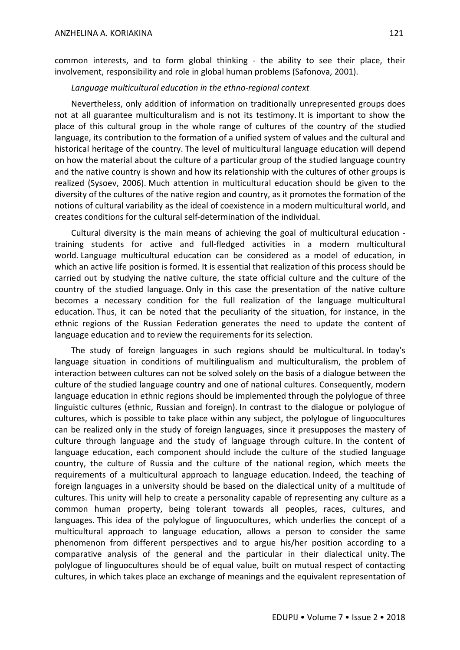common interests, and to form global thinking - the ability to see their place, their involvement, responsibility and role in global human problems (Safonova, 2001).

#### *Language multicultural education in the ethno-regional context*

Nevertheless, only addition of information on traditionally unrepresented groups does not at all guarantee multiculturalism and is not its testimony. It is important to show the place of this cultural group in the whole range of cultures of the country of the studied language, its contribution to the formation of a unified system of values and the cultural and historical heritage of the country. The level of multicultural language education will depend on how the material about the culture of a particular group of the studied language country and the native country is shown and how its relationship with the cultures of other groups is realized (Sysoev, 2006). Much attention in multicultural education should be given to the diversity of the cultures of the native region and country, as it promotes the formation of the notions of cultural variability as the ideal of coexistence in a modern multicultural world, and creates conditions for the cultural self-determination of the individual.

Cultural diversity is the main means of achieving the goal of multicultural education training students for active and full-fledged activities in a modern multicultural world. Language multicultural education can be considered as a model of education, in which an active life position is formed. It is essential that realization of this process should be carried out by studying the native culture, the state official culture and the culture of the country of the studied language. Only in this case the presentation of the native culture becomes a necessary condition for the full realization of the language multicultural education. Thus, it can be noted that the peculiarity of the situation, for instance, in the ethnic regions of the Russian Federation generates the need to update the content of language education and to review the requirements for its selection.

The study of foreign languages in such regions should be multicultural. In today's language situation in conditions of multilingualism and multiculturalism, the problem of interaction between cultures can not be solved solely on the basis of a dialogue between the culture of the studied language country and one of national cultures. Consequently, modern language education in ethnic regions should be implemented through the polylogue of three linguistic cultures (ethnic, Russian and foreign). In contrast to the dialogue or polylogue of cultures, which is possible to take place within any subject, the polylogue of linguocultures can be realized only in the study of foreign languages, since it presupposes the mastery of culture through language and the study of language through culture. In the content of language education, each component should include the culture of the studied language country, the culture of Russia and the culture of the national region, which meets the requirements of a multicultural approach to language education. Indeed, the teaching of foreign languages in a university should be based on the dialectical unity of a multitude of cultures. This unity will help to create a personality capable of representing any culture as a common human property, being tolerant towards all peoples, races, cultures, and languages. This idea of the polylogue of linguocultures, which underlies the concept of a multicultural approach to language education, allows a person to consider the same phenomenon from different perspectives and to argue his/her position according to a comparative analysis of the general and the particular in their dialectical unity. The polylogue of linguocultures should be of equal value, built on mutual respect of contacting cultures, in which takes place an exchange of meanings and the equivalent representation of